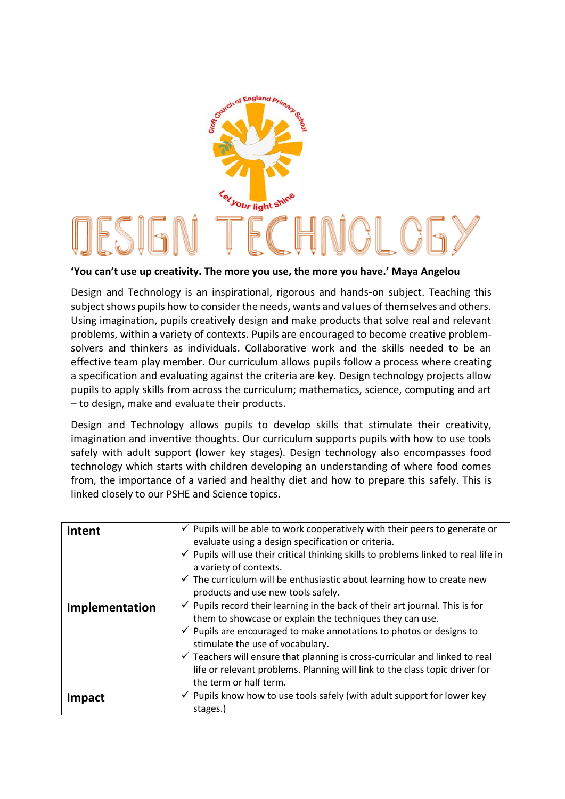

## **'You can't use up creativity. The more you use, the more you have.' Maya Angelou**

Design and Technology is an inspirational, rigorous and hands-on subject. Teaching this subject shows pupils how to consider the needs, wants and values of themselves and others. Using imagination, pupils creatively design and make products that solve real and relevant problems, within a variety of contexts. Pupils are encouraged to become creative problemsolvers and thinkers as individuals. Collaborative work and the skills needed to be an effective team play member. Our curriculum allows pupils follow a process where creating a specification and evaluating against the criteria are key. Design technology projects allow pupils to apply skills from across the curriculum; mathematics, science, computing and art – to design, make and evaluate their products.

Design and Technology allows pupils to develop skills that stimulate their creativity, imagination and inventive thoughts. Our curriculum supports pupils with how to use tools safely with adult support (lower key stages). Design technology also encompasses food technology which starts with children developing an understanding of where food comes from, the importance of a varied and healthy diet and how to prepare this safely. This is linked closely to our PSHE and Science topics.

| Intent         | $\checkmark$ Pupils will be able to work cooperatively with their peers to generate or<br>evaluate using a design specification or criteria.<br>$\checkmark$ Pupils will use their critical thinking skills to problems linked to real life in<br>a variety of contexts.<br>$\checkmark$ The curriculum will be enthusiastic about learning how to create new                                                                                                                |
|----------------|------------------------------------------------------------------------------------------------------------------------------------------------------------------------------------------------------------------------------------------------------------------------------------------------------------------------------------------------------------------------------------------------------------------------------------------------------------------------------|
|                | products and use new tools safely.                                                                                                                                                                                                                                                                                                                                                                                                                                           |
| Implementation | $\checkmark$ Pupils record their learning in the back of their art journal. This is for<br>them to showcase or explain the techniques they can use.<br>$\checkmark$ Pupils are encouraged to make annotations to photos or designs to<br>stimulate the use of vocabulary.<br>$\checkmark$ Teachers will ensure that planning is cross-curricular and linked to real<br>life or relevant problems. Planning will link to the class topic driver for<br>the term or half term. |
| Impact         | $\checkmark$ Pupils know how to use tools safely (with adult support for lower key<br>stages.)                                                                                                                                                                                                                                                                                                                                                                               |